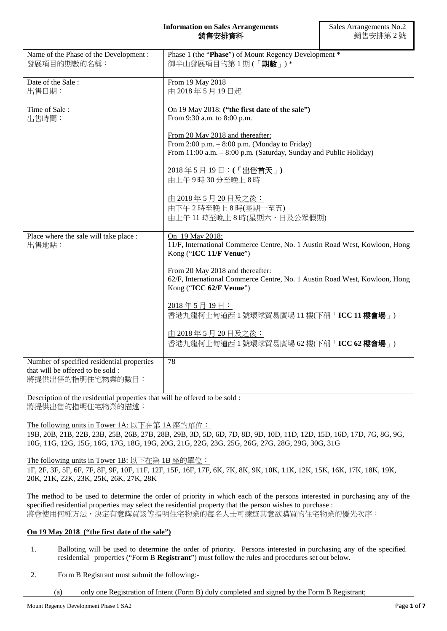## **Information on Sales Arrangements** 銷售安排資料

| Name of the Phase of the Development:<br>發展項目的期數的名稱:                                               | Phase 1 (the "Phase") of Mount Regency Development *<br>御半山發展項目的第1期(「期數」)*                                                                               |
|----------------------------------------------------------------------------------------------------|----------------------------------------------------------------------------------------------------------------------------------------------------------|
| Date of the Sale:<br>出售日期:                                                                         | From 19 May 2018<br>由 2018年5月19日起                                                                                                                        |
| Time of Sale:<br>出售時間:                                                                             | On 19 May 2018: ("the first date of the sale")<br>From 9:30 a.m. to 8:00 p.m.                                                                            |
|                                                                                                    | From 20 May 2018 and thereafter:<br>From 2:00 p.m. $-$ 8:00 p.m. (Monday to Friday)<br>From 11:00 a.m. - 8:00 p.m. (Saturday, Sunday and Public Holiday) |
|                                                                                                    | 2018年5月19日:(「出售首天」)<br>由上午9時30分至晚上8時                                                                                                                     |
|                                                                                                    | 由 2018年5月20日及之後:<br>由下午2時至晚上8時(星期一至五)<br>由上午11時至晚上8時(星期六、日及公眾假期)                                                                                         |
| Place where the sale will take place :<br>出售地點:                                                    | On 19 May 2018:<br>11/F, International Commerce Centre, No. 1 Austin Road West, Kowloon, Hong<br>Kong ("ICC 11/F Venue")                                 |
|                                                                                                    | From 20 May 2018 and thereafter:<br>62/F, International Commerce Centre, No. 1 Austin Road West, Kowloon, Hong<br>Kong ("ICC 62/F Venue")                |
|                                                                                                    | 2018年5月19日:<br>香港九龍柯士甸道西1號環球貿易廣場 11樓(下稱「ICC 11樓會場」)                                                                                                      |
|                                                                                                    | 由 2018年5月20日及之後:<br>香港九龍柯士甸道西1號環球貿易廣場 62樓(下稱「ICC 62樓會場」)                                                                                                 |
| Number of specified residential properties<br>that will be offered to be sold:<br>將提供出售的指明住宅物業的數目: | 78                                                                                                                                                       |

Description of the residential properties that will be offered to be sold : 將提供出售的指明住宅物業的描述:

The following units in Tower 1A: 以下在第 1A 座的單位: 19B, 20B, 21B, 22B, 23B, 25B, 26B, 27B, 28B, 29B, 3D, 5D, 6D, 7D, 8D, 9D, 10D, 11D, 12D, 15D, 16D, 17D, 7G, 8G, 9G, 10G, 11G, 12G, 15G, 16G, 17G, 18G, 19G, 20G, 21G, 22G, 23G, 25G, 26G, 27G, 28G, 29G, 30G, 31G

The following units in Tower 1B: 以下在第 1B 座的單位: 1F, 2F, 3F, 5F, 6F, 7F, 8F, 9F, 10F, 11F, 12F, 15F, 16F, 17F, 6K, 7K, 8K, 9K, 10K, 11K, 12K, 15K, 16K, 17K, 18K, 19K, 20K, 21K, 22K, 23K, 25K, 26K, 27K, 28K

The method to be used to determine the order of priority in which each of the persons interested in purchasing any of the specified residential properties may select the residential property that the person wishes to purchase : 將會使用何種方法,決定有意購買該等指明住宅物業的每名人士可揀選其意欲購買的住宅物業的優先次序:

# **On 19 May 2018 ("the first date of the sale")**

- 1. Balloting will be used to determine the order of priority. Persons interested in purchasing any of the specified residential properties ("Form B **Registrant**") must follow the rules and procedures set out below.
- 2. Form B Registrant must submit the following:-

(a) only one Registration of Intent (Form B) duly completed and signed by the Form B Registrant;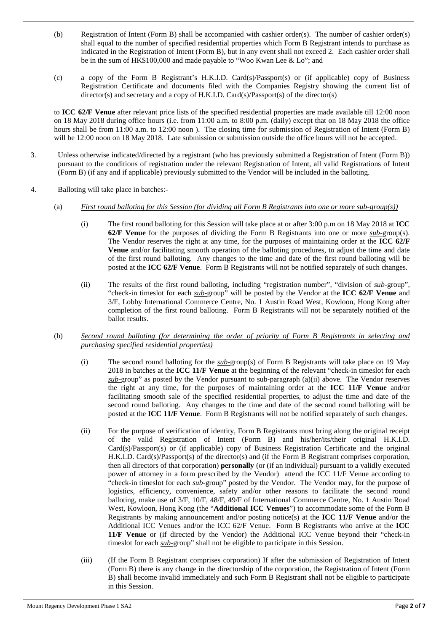- (b) Registration of Intent (Form B) shall be accompanied with cashier order(s). The number of cashier order(s) shall equal to the number of specified residential properties which Form B Registrant intends to purchase as indicated in the Registration of Intent (Form B), but in any event shall not exceed 2. Each cashier order shall be in the sum of HK\$100,000 and made payable to "Woo Kwan Lee & Lo"; and
- (c) a copy of the Form B Registrant's H.K.I.D. Card(s)/Passport(s) or (if applicable) copy of Business Registration Certificate and documents filed with the Companies Registry showing the current list of director(s) and secretary and a copy of H.K.I.D. Card(s)/Passport(s) of the director(s)

to **ICC 62/F Venue** after relevant price lists of the specified residential properties are made available till 12:00 noon on 18 May 2018 during office hours (i.e. from 11:00 a.m. to 8:00 p.m. (daily) except that on 18 May 2018 the office hours shall be from 11:00 a.m. to 12:00 noon ). The closing time for submission of Registration of Intent (Form B) will be 12:00 noon on 18 May 2018. Late submission or submission outside the office hours will not be accepted.

- 3. Unless otherwise indicated/directed by a registrant (who has previously submitted a Registration of Intent (Form B)) pursuant to the conditions of registration under the relevant Registration of Intent, all valid Registrations of Intent (Form B) (if any and if applicable) previously submitted to the Vendor will be included in the balloting.
- 4. Balloting will take place in batches:-
	- (a) *First round balloting for this Session (for dividing all Form B Registrants into one or more sub-group(s))*
		- (i) The first round balloting for this Session will take place at or after 3:00 p.m on 18 May 2018 at **ICC 62/F Venue** for the purposes of dividing the Form B Registrants into one or more *sub-*group(s). The Vendor reserves the right at any time, for the purposes of maintaining order at the **ICC 62/F Venue** and/or facilitating smooth operation of the balloting procedures, to adjust the time and date of the first round balloting. Any changes to the time and date of the first round balloting will be posted at the **ICC 62/F Venue**. Form B Registrants will not be notified separately of such changes.
		- (ii) The results of the first round balloting, including "registration number", "division of *sub-*group", "check-in timeslot for each *sub-*group" will be posted by the Vendor at the **ICC 62/F Venue** and 3/F, Lobby International Commerce Centre, No. 1 Austin Road West, Kowloon, Hong Kong after completion of the first round balloting. Form B Registrants will not be separately notified of the ballot results.

## (b) *Second round balloting (for determining the order of priority of Form B Registrants in selecting and purchasing specified residential properties)*

- (i) The second round balloting for the *sub-*group(s) of Form B Registrants will take place on 19 May 2018 in batches at the **ICC 11/F Venue** at the beginning of the relevant "check-in timeslot for each *sub-*group" as posted by the Vendor pursuant to sub-paragraph (a)(ii) above. The Vendor reserves the right at any time, for the purposes of maintaining order at the **ICC 11/F Venue** and/or facilitating smooth sale of the specified residential properties, to adjust the time and date of the second round balloting. Any changes to the time and date of the second round balloting will be posted at the **ICC 11/F Venue**. Form B Registrants will not be notified separately of such changes.
- (ii) For the purpose of verification of identity, Form B Registrants must bring along the original receipt of the valid Registration of Intent (Form B) and his/her/its/their original H.K.I.D. Card(s)/Passport(s) or (if applicable) copy of Business Registration Certificate and the original H.K.I.D. Card(s)/Passport(s) of the director(s) and (if the Form B Registrant comprises corporation, then all directors of that corporation) **personally** (or (if an individual) pursuant to a validly executed power of attorney in a form prescribed by the Vendor) attend the ICC 11/F Venue according to "check-in timeslot for each *sub-*group" posted by the Vendor. The Vendor may, for the purpose of logistics, efficiency, convenience, safety and/or other reasons to facilitate the second round balloting, make use of 3/F, 10/F, 48/F, 49/F of International Commerce Centre, No. 1 Austin Road West, Kowloon, Hong Kong (the "**Additional ICC Venues**") to accommodate some of the Form B Registrants by making announcement and/or posting notice(s) at the **ICC 11/F Venue** and/or the Additional ICC Venues and/or the ICC 62/F Venue. Form B Registrants who arrive at the **ICC 11/F Venue** or (if directed by the Vendor) the Additional ICC Venue beyond their "check-in timeslot for each *sub-*group" shall not be eligible to participate in this Session.
- (iii) (If the Form B Registrant comprises corporation) If after the submission of Registration of Intent (Form B) there is any change in the directorship of the corporation, the Registration of Intent (Form B) shall become invalid immediately and such Form B Registrant shall not be eligible to participate in this Session.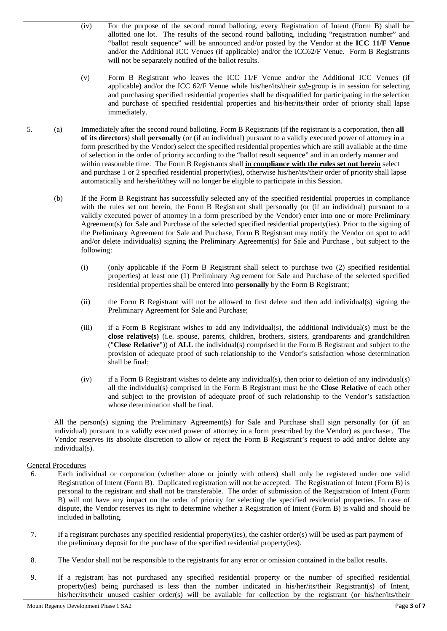- (iv) For the purpose of the second round balloting, every Registration of Intent (Form B) shall be allotted one lot. The results of the second round balloting, including "registration number" and "ballot result sequence" will be announced and/or posted by the Vendor at the **ICC 11/F Venue** and/or the Additional ICC Venues (if applicable) and/or the ICC62/F Venue. Form B Registrants will not be separately notified of the ballot results.
- (v) Form B Registrant who leaves the ICC 11/F Venue and/or the Additional ICC Venues (if applicable) and/or the ICC 62/F Venue while his/her/its/their *sub-*group is in session for selecting and purchasing specified residential properties shall be disqualified for participating in the selection and purchase of specified residential properties and his/her/its/their order of priority shall lapse immediately.
- 5. (a) Immediately after the second round balloting, Form B Registrants (if the registrant is a corporation, then **all of its directors**) shall **personally** (or (if an individual) pursuant to a validly executed power of attorney in a form prescribed by the Vendor) select the specified residential properties which are still available at the time of selection in the order of priority according to the "ballot result sequence" and in an orderly manner and within reasonable time. The Form B Registrants shall **in compliance with the rules set out herein** select and purchase 1 or 2 specified residential property(ies), otherwise his/her/its/their order of priority shall lapse automatically and he/she/it/they will no longer be eligible to participate in this Session.
	- (b) If the Form B Registrant has successfully selected any of the specified residential properties in compliance with the rules set out herein, the Form B Registrant shall personally (or (if an individual) pursuant to a validly executed power of attorney in a form prescribed by the Vendor) enter into one or more Preliminary Agreement(s) for Sale and Purchase of the selected specified residential property(ies). Prior to the signing of the Preliminary Agreement for Sale and Purchase, Form B Registrant may notify the Vendor on spot to add and/or delete individual(s) signing the Preliminary Agreement(s) for Sale and Purchase , but subject to the following:
		- (i) (only applicable if the Form B Registrant shall select to purchase two (2) specified residential properties) at least one (1) Preliminary Agreement for Sale and Purchase of the selected specified residential properties shall be entered into **personally** by the Form B Registrant;
		- (ii) the Form B Registrant will not be allowed to first delete and then add individual(s) signing the Preliminary Agreement for Sale and Purchase;
		- (iii) if a Form B Registrant wishes to add any individual(s), the additional individual(s) must be the **close relative(s)** (i.e. spouse, parents, children, brothers, sisters, grandparents and grandchildren ("**Close Relative**")) of **ALL** the individual(s) comprised in the Form B Registrant and subject to the provision of adequate proof of such relationship to the Vendor's satisfaction whose determination shall be final;
		- (iv) if a Form B Registrant wishes to delete any individual(s), then prior to deletion of any individual(s) all the individual(s) comprised in the Form B Registrant must be the **Close Relative** of each other and subject to the provision of adequate proof of such relationship to the Vendor's satisfaction whose determination shall be final.

All the person(s) signing the Preliminary Agreement(s) for Sale and Purchase shall sign personally (or (if an individual) pursuant to a validly executed power of attorney in a form prescribed by the Vendor) as purchaser. The Vendor reserves its absolute discretion to allow or reject the Form B Registrant's request to add and/or delete any individual(s).

## General Procedures

- 6. Each individual or corporation (whether alone or jointly with others) shall only be registered under one valid Registration of Intent (Form B). Duplicated registration will not be accepted. The Registration of Intent (Form B) is personal to the registrant and shall not be transferable. The order of submission of the Registration of Intent (Form B) will not have any impact on the order of priority for selecting the specified residential properties. In case of dispute, the Vendor reserves its right to determine whether a Registration of Intent (Form B) is valid and should be included in balloting.
- 7. If a registrant purchases any specified residential property(ies), the cashier order(s) will be used as part payment of the preliminary deposit for the purchase of the specified residential property(ies).
- 8. The Vendor shall not be responsible to the registrants for any error or omission contained in the ballot results.
- 9. If a registrant has not purchased any specified residential property or the number of specified residential property(ies) being purchased is less than the number indicated in his/her/its/their Registrant(s) of Intent, his/her/its/their unused cashier order(s) will be available for collection by the registrant (or his/her/its/their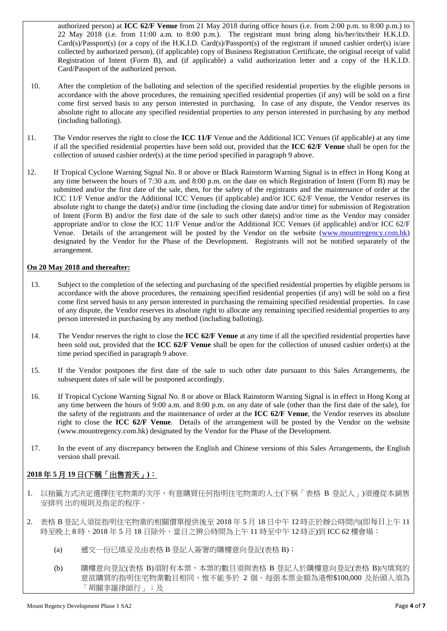authorized person) at **ICC 62/F Venue** from 21 May 2018 during office hours (i.e. from 2:00 p.m. to 8:00 p.m.) to 22 May 2018 (i.e. from 11:00 a.m. to 8:00 p.m.). The registrant must bring along his/her/its/their H.K.I.D. Card(s)/Passport(s) (or a copy of the H.K.I.D. Card(s)/Passport(s) of the registrant if unused cashier order(s) is/are collected by authorized person), (if applicable) copy of Business Registration Certificate, the original receipt of valid Registration of Intent (Form B), and (if applicable) a valid authorization letter and a copy of the H.K.I.D. Card/Passport of the authorized person.

- 10. After the completion of the balloting and selection of the specified residential properties by the eligible persons in accordance with the above procedures, the remaining specified residential properties (if any) will be sold on a first come first served basis to any person interested in purchasing. In case of any dispute, the Vendor reserves its absolute right to allocate any specified residential properties to any person interested in purchasing by any method (including balloting).
- 11. The Vendor reserves the right to close the **ICC 11/F** Venue and the Additional ICC Venues (if applicable) at any time if all the specified residential properties have been sold out, provided that the **ICC 62/F Venue** shall be open for the collection of unused cashier order(s) at the time period specified in paragraph 9 above.
- 12. If Tropical Cyclone Warning Signal No. 8 or above or Black Rainstorm Warning Signal is in effect in Hong Kong at any time between the hours of 7:30 a.m. and 8:00 p.m. on the date on which Registration of Intent (Form B) may be submitted and/or the first date of the sale, then, for the safety of the registrants and the maintenance of order at the ICC 11/F Venue and/or the Additional ICC Venues (if applicable) and/or ICC 62/F Venue, the Vendor reserves its absolute right to change the date(s) and/or time (including the closing date and/or time) for submission of Registration of Intent (Form B) and/or the first date of the sale to such other date(s) and/or time as the Vendor may consider appropriate and/or to close the ICC 11/F Venue and/or the Additional ICC Venues (if applicable) and/or ICC 62/F Venue. Details of the arrangement will be posted by the Vendor on the website [\(www.mountr](http://www.mount/)egency.com.hk) designated by the Vendor for the Phase of the Development. Registrants will not be notified separately of the arrangement.

## **On 20 May 2018 and thereafter:**

- 13. Subject to the completion of the selecting and purchasing of the specified residential properties by eligible persons in accordance with the above procedures, the remaining specified residential properties (if any) will be sold on a first come first served basis to any person interested in purchasing the remaining specified residential properties. In case of any dispute, the Vendor reserves its absolute right to allocate any remaining specified residential properties to any person interested in purchasing by any method (including balloting).
- 14. The Vendor reserves the right to close the **ICC 62/F Venue** at any time if all the specified residential properties have been sold out, provided that the **ICC 62/F Venue** shall be open for the collection of unused cashier order(s) at the time period specified in paragraph 9 above.
- 15. If the Vendor postpones the first date of the sale to such other date pursuant to this Sales Arrangements, the subsequent dates of sale will be postponed accordingly.
- 16. If Tropical Cyclone Warning Signal No. 8 or above or Black Rainstorm Warning Signal is in effect in Hong Kong at any time between the hours of 9:00 a.m. and 8:00 p.m. on any date of sale (other than the first date of the sale), for the safety of the registrants and the maintenance of order at the **ICC 62/F Venue**, the Vendor reserves its absolute right to close the **ICC 62/F Venue**. Details of the arrangement will be posted by the Vendor on the website (www.mountregency.com.hk) designated by the Vendor for the Phase of the Development.
- 17. In the event of any discrepancy between the English and Chinese versions of this Sales Arrangements, the English version shall prevail.

# **2018** 年 **5** 月 **19** 日**(**下稱「出售首天」**)**:

- 1. 以抽籤方式決定選擇住宅物業的次序,有意購買任何指明住宅物業的人士(下稱「表格 B 登記人」)須遵從本銷售 安排列 出的規則及指定的程序。
- 2. 表格 B 登記人須從指明住宅物業的相關價單提供後至 2018 年 5 月 18 日中午 12 時正於辦公時間內(即每日上午 11 時至晚上 8 時,2018 年 5 月 18 日除外,當日之辨公時間為上午 11 時至中午 12 時正)到 ICC 62 樓會場:
	- (a) 遞交一份已填妥及由表格 B 登記人簽署的購樓意向登記(表格 B);
	- (b) 購樓意向登記(表格 B)須附有本票,本票的數目須與表格 B 登記人於購樓意向登記(表格 B)內填寫的 意欲購買的指明住宅物業數目相同,惟不能多於 2 個。每張本票金額為港幣\$100,000 及抬頭人須為 「胡關李羅律師行」;及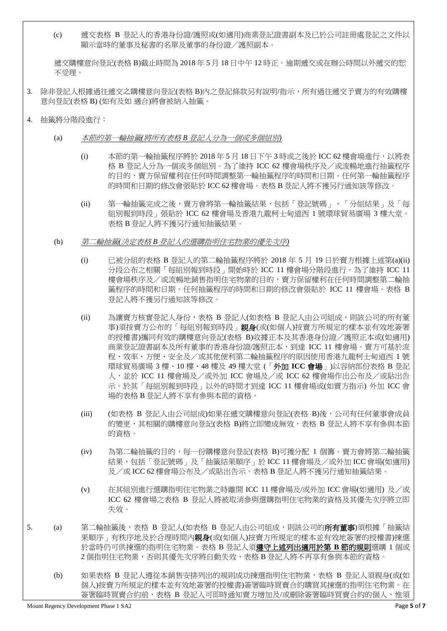(c) 遞交表格 B 登記人的香港身份證/護照或(如適用)商業登記證書副本及已於公司註冊處登記之文件以 顯示當時的董事及秘書的名單及董事的身份證/護照副本。

遞交購樓意向登記(表格 B)截止時間為 2018 年 5 月 18 日中午 12 時正。逾期遞交或在辦公時間以外遞交的恕 不受理。

- 3. 除非登記人根據過往遞交之購樓意向登記(表格 B)內之登記條款另有說明/指示,所有過往遞交予賣方的有效購樓 意向登記(表格 B) (如有及如 適合)將會被納入抽籤。
- 4. 抽籤將分階段進行:
	- (a) 本節的第一輪抽籤*(*將所有表格 *B* 登記人分為一個或多個組別*)*
		- (i) 本節的第一輪抽籤程序將於 2018年5月18日下午3時或之後於 ICC 62樓會場進行, 以將表 格 B 登記人分為一個或多個組別。為了維持 ICC 62 樓會場秩序及/或流暢地進行抽籤程序 的目的,賣方保留權利在任何時間調整第一輪抽籤程序的時間和日期。任何第一輪抽籤程序 的時間和日期的修改會張貼於 ICC 62 樓會場。表格 B 登記人將不獲另行通知該等修改。
		- (ii) 第一輪抽籤完成之後,賣方會將第一輪抽籤結果,包括「登記號碼」、「分組結果」及「每 組別報到時段」張貼於 ICC 62 樓會場及香港九龍柯士甸道西 1 號環球貿易廣場 3 樓大堂。 表格 B 登記人將不獲另行通知抽籤結果。
	- (b) 第二輪抽籤*(*決定表格 *B* 登記人的選購指明住宅物業的優先次序*)*
		- (i) 已被分組的表格 B 登記人的第二輪抽籤程序將於 2018 年 5 月 19 日於賣方根據上述第(a)(ii) 分段公布之相關「每組別報到時段」開始時於 ICC 11 樓會場分階段進行。為了維持 ICC 11 樓會場秩序及/或流暢地銷售指明住宅物業的目的,賣方保留權利在任何時間調整第二輪抽 籤程序的時間和日期。任何抽籤程序的時間和日期的修改會張貼於 ICC 11 樓會場。表格 B 登記人將不獲另行通知該等修改。
		- (ii) 為讓賣方核實登記人身份,表格 B 登記人(如表格 B 登記人由公司組成,則該公司的所有董 事)須按賣方公布的「每組別報到時段」親身(或(如個人)按賣方所規定的樣本並有效地簽署 的授權書)攜同有效的購樓意向登記(表格 B)收據正本及其香港身份證/護照正本或(如適用) 商業登記證書副本及所有董事的香港身份證/護照正本,到達 ICC 11 樓會場。賣方可基於流 程、效率、方便、安全及/或其他便利第二輪抽籤程序的原因使用香港九龍柯士甸道西 1 號 環球貿易廣場 3 樓、10 樓、48 樓及 49 樓大堂 (「外加 **ICC** 會場」)以容納部份表格 B 登記 人,並於 ICC 11 樓會場及/或外加 ICC 會場及/或 ICC 62 樓會場作出公布及/或貼出告 示。於其「每組別報到時段」以外的時間才到達 ICC 11 樓會場或(如賣方指示) 外加 ICC 會 場的表格 B 登記人將不享有參與本節的資格。
		- (iii) (如表格 B 登記人由公司組成)如果在遞交購樓意向登記(表格 B)後,公司有任何董事會成員 的變更,其相關的購樓意向登記(表格 B)將立即變成無效,表格 B 登記人將不享有參與本節 的資格。
		- (iv) 為第二輪抽籤的目的,每一份購樓意向登記(表格 B)可獲分配 1 個籌。賣方會將第二輪抽籤 結果,包括「登記號碼」及「抽籤結果順序」於 ICC 11 樓會場及/或外加 ICC 會場(如適用) 及/或 ICC 62 樓會場公布及/或貼出告示。表格 B 登記人將不獲另行通知抽籤結果。
		- (v) 在其組別進行選購指明住宅物業之時離開 ICC 11 樓會場及/或外加 ICC 會場(如適用) 及/或 ICC 62 樓會場之表格 B 登記人將被取消參與選購指明住宅物業的資格及其優先次序將立即 失效。
- 5. (a) 第二輪抽籤後,表格 B 登記人(如表格 B 登記人由公司組成,則該公司的**所有董事**)須根據「抽籤結 果順序」有秩序地及於合理時間內親身(或(如個人)按賣方所規定的樣本並有效地簽署的授權書)揀選 於當時仍可供揀選的指明住宅物業。表格 B 登記人須遵守上述列出適用於第 **B** 節的規則選購 1 個或 2個指明住宅物業,否則其優先次序將自動失效,表格 B 登記人將不再享有參與本節的資格。
	- (b) 如果表格 B 登記人遵從本銷售安排列出的規則成功揀選指明住宅物業,表格 B 登記人須親身(或(如 個人)按賣方所規定的樣本並有效地簽署的授權書)簽署臨時買賣合約購買其揀選的指明住宅物業。在 簽署臨時買賣合約前,表格 B 登記人可即時通知賣方增加及/或刪除簽署臨時買賣合約的個人,惟須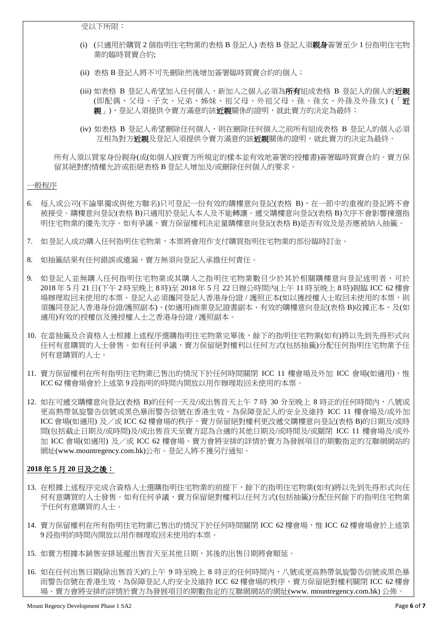受以下所限:

- (i) (只適用於購買 2 個指明住宅物業的表格 B 登記人) 表格 B 登記人須親身簽署至少 1 份指明住宅物 業的臨時買賣合約;
- (ii) 表格 B 登記人將不可先刪除然後增加簽署臨時買賣合約的個人;
- (iii) 如表格 B 登記人希望加入任何個人,新加入之個人必須為**所有**組成表格 B 登記人的個人的**近親** (即配偶、父母、子女、兄弟、姊妹、祖父母、外祖父母、孫、孫女、外孫及外孫女) (「近 親」),登記人須提供令賣方滿意的該**近親**關係的證明,就此賣方的決定為最終;
- (iv) 如表格 B 登記人希望刪除任何個人,則在刪除任何個人之前所有組成表格 B 登記人的個人必須 互相為對方近親及登記人須提供令賣方滿意的該近親關係的證明,就此賣方的決定為最終。

所有人須以買家身份親身(或(如個人)按賣方所規定的樣本並有效地簽署的授權書)簽署臨時買賣合約。賣方保 留其絕對酌情權允許或拒絕表格 B 登記人增加及/或刪除任何個人的要求。

## 一般程序

- 6. 每人或公司(不論單獨或與他方聯名)只可登記一份有效的購樓意向登記(表格 B), 在一節中的重複的登記將不會 被接受。購樓意向登記(表格 B)只適用於登記人本人及不能轉讓。遞交購樓意向登記(表格 B)次序不會影響揀選指 明住宅物業的優先次序。如有爭議,賣方保留權利決定量購樓意向登記(表格 B)是否有效及是否應被納入抽籤。
- 7. 如登記人成功購入任何指明住宅物業,本票將會用作支付購買指明住宅物業的部份臨時訂金。
- 8. 如抽籤結果有任何錯誤或遺漏,賣方無須向登記人承擔任何責任。
- 9. 如登記人並無購入任何指明住宅物業或其購入之指明住宅物業數目少於其於相關購樓意向登記述明者,可於 2018 年 5 月 21 日(下午 2 時至晚上 8 時)至 2018 年 5 月 22 日辦公時間內(上午 11 時至晚上 8 時)親臨 ICC 62 樓會 場辦理取回未使用的本票。登記人必須攜同登記人香港身份證 / 護照正本(如以獲授權人士取回未使用的本票,則 須攜同登記人香港身份證/護照副本)、(如適用)商業登記證書副本、有效的購樓意向登記(表格 B)收據正本、及(如 適用)有效的授權信及獲授權人士之香港身份證 / 護照副本。
- 10. 在當抽籤及合資格人士根據上述程序選購指明住宅物業完畢後,餘下的指明住宅物業(如有)將以先到先得形式向 任何有意購買的人士發售。如有任何爭議,賣方保留絕對權利以任何方式(包括抽籤)分配任何指明住宅物業予任 何有意購買的人士。
- 11. 賣方保留權利在所有指明住宅物業已售出的情況下於任何時間關閉 ICC 11 樓會場及外加 ICC 會場(如適用),惟 ICC 62 樓會場會於上述第 9 段指明的時間内開放以用作辦理取回未使用的本票。
- 12. 如在可遞交購樓意向登記(表格 B)的任何一天及/或出售首天上午 7 時 30 分至晚上 8 時正的任何時間内,八號或 更高熱帶氣旋警告信號或黑色暴雨警告信號在香港生效,為保障登記人的安全及維持 ICC 11 樓會場及/或外加 ICC 會場(如適用) 及/或 ICC 62 樓會場的秩序,賣方保留絕對權利更改遞交購樓意向登記(表格 B)的日期及/或時 間(包括截止日期及/或時間)及/或出售首天至賣方認為合適的其他日期及/或時間及/或關閉 ICC 11 樓會場及/或外 加 ICC 會場(如適用) 及/或 ICC 62 樓會場。賣方會將安排的詳情於賣方為發展項目的期數指定的互聯網網站的 網址(www.mountregency.com.hk)公布。登記人將不獲另行通知。

## **2018** 年 **5** 月 **20** 日及之後:

- 13. 在根據上述程序完成合資格人士選購指明住宅物業的前提下,餘下的指明住宅物業(如有)將以先到先得形式向任 何有意購買的人士發售。如有任何爭議,賣方保留絕對權利以任何方式(包括抽籤)分配任何餘下的指明住宅物業 予任何有意購買的人士。
- 14. 賣方保留權利在所有指明住宅物業已售出的情況下於任何時間關閉 ICC 62 樓會場,惟 ICC 62 樓會場會於上述第 9 段指明的時間内開放以用作辦理取回未使用的本票。
- 15. 如賣方根據本銷售安排延遲出售首天至其他日期,其後的出售日期將會順延。
- 16. 如在任何出售日期(除出售首天)的上午 9 時至晚上 8 時正的任何時間內,八號或更高熱帶氣旋警告信號或黑色暴 雨警告信號在香港生效,為保障登記人的安全及維持 ICC 62 樓會場的秩序,賣方保留絕對權利關閉 ICC 62 樓會 場。賣方會將安排的詳情於賣方為發展項目的期數指定的互聯網網站的網址(www. mountregency.com.hk) 公佈。